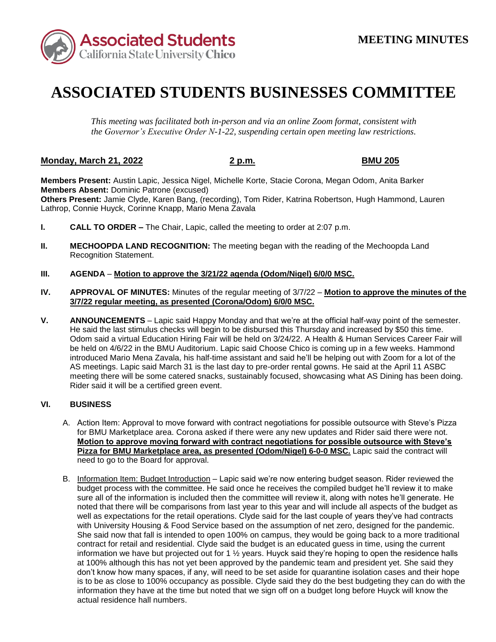

# **ASSOCIATED STUDENTS BUSINESSES COMMITTEE**

*This meeting was facilitated both in-person and via an online Zoom format, consistent with the Governor's Executive Order N-1-22, suspending certain open meeting law restrictions.* 

## **Monday, March 21, 2022 2 p.m. BMU 205**

**Members Present:** Austin Lapic, Jessica Nigel, Michelle Korte, Stacie Corona, Megan Odom, Anita Barker **Members Absent:** Dominic Patrone (excused)

**Others Present:** Jamie Clyde, Karen Bang, (recording), Tom Rider, Katrina Robertson, Hugh Hammond, Lauren Lathrop, Connie Huyck, Corinne Knapp, Mario Mena Zavala

- **I. CALL TO ORDER –** The Chair, Lapic, called the meeting to order at 2:07 p.m.
- **II. MECHOOPDA LAND RECOGNITION:** The meeting began with the reading of the Mechoopda Land Recognition Statement.

#### **III. AGENDA** – **Motion to approve the 3/21/22 agenda (Odom/Nigel) 6/0/0 MSC.**

- **IV. APPROVAL OF MINUTES:** Minutes of the regular meeting of 3/7/22 **Motion to approve the minutes of the 3/7/22 regular meeting, as presented (Corona/Odom) 6/0/0 MSC.**
- He said the last stimulus checks will begin to be disbursed this Thursday and increased by \$50 this time. Odom said a virtual Education Hiring Fair will be held on 3/24/22. A Health & Human Services Career Fair will be held on 4/6/22 in the BMU Auditorium. Lapic said Choose Chico is coming up in a few weeks. Hammond **V. ANNOUNCEMENTS** – Lapic said Happy Monday and that we're at the official half-way point of the semester. introduced Mario Mena Zavala, his half-time assistant and said he'll be helping out with Zoom for a lot of the AS meetings. Lapic said March 31 is the last day to pre-order rental gowns. He said at the April 11 ASBC meeting there will be some catered snacks, sustainably focused, showcasing what AS Dining has been doing. Rider said it will be a certified green event.

#### **VI. BUSINESS**

- A. Action Item: Approval to move forward with contract negotiations for possible outsource with Steve's Pizza for BMU Marketplace area. Corona asked if there were any new updates and Rider said there were not. **Motion to approve moving forward with contract negotiations for possible outsource with Steve's Pizza for BMU Marketplace area, as presented (Odom/Nigel) 6-0-0 MSC.** Lapic said the contract will need to go to the Board for approval.
- noted that there will be comparisons from last year to this year and will include all aspects of the budget as with University Housing & Food Service based on the assumption of net zero, designed for the pandemic. She said now that fall is intended to open 100% on campus, they would be going back to a more traditional is to be as close to 100% occupancy as possible. Clyde said they do the best budgeting they can do with the B. Information Item: Budget Introduction – Lapic said we're now entering budget season. Rider reviewed the budget process with the committee. He said once he receives the compiled budget he'll review it to make sure all of the information is included then the committee will review it, along with notes he'll generate. He well as expectations for the retail operations. Clyde said for the last couple of years they've had contracts contract for retail and residential. Clyde said the budget is an educated guess in time, using the current information we have but projected out for 1 ½ years. Huyck said they're hoping to open the residence halls at 100% although this has not yet been approved by the pandemic team and president yet. She said they don't know how many spaces, if any, will need to be set aside for quarantine isolation cases and their hope information they have at the time but noted that we sign off on a budget long before Huyck will know the actual residence hall numbers.